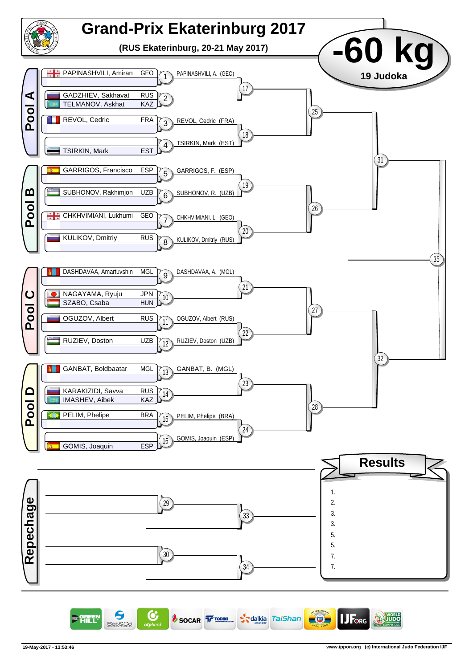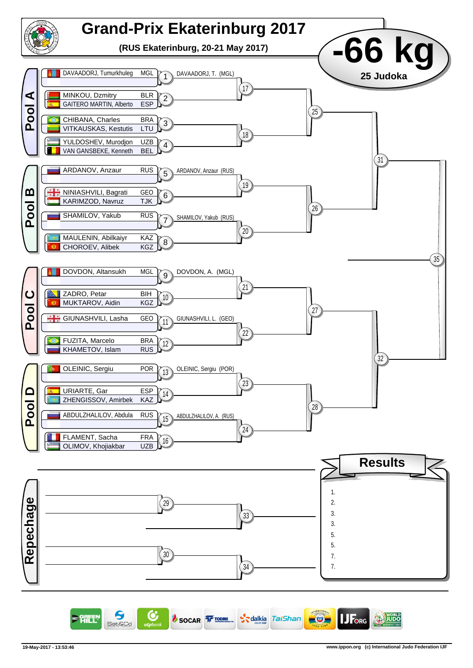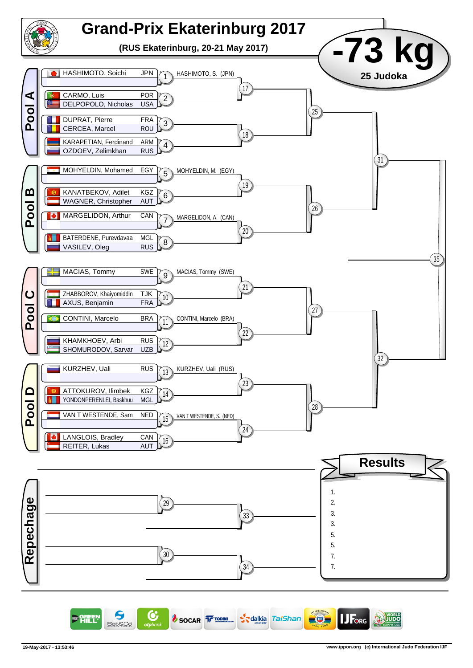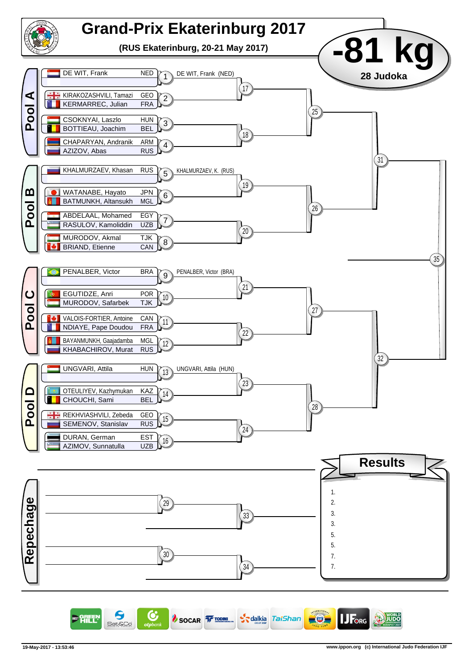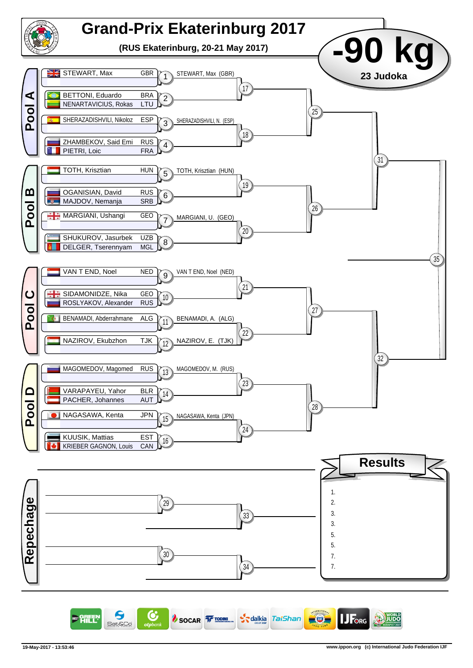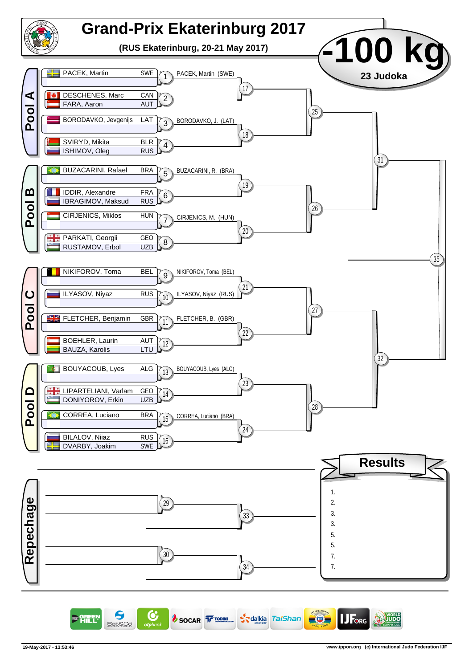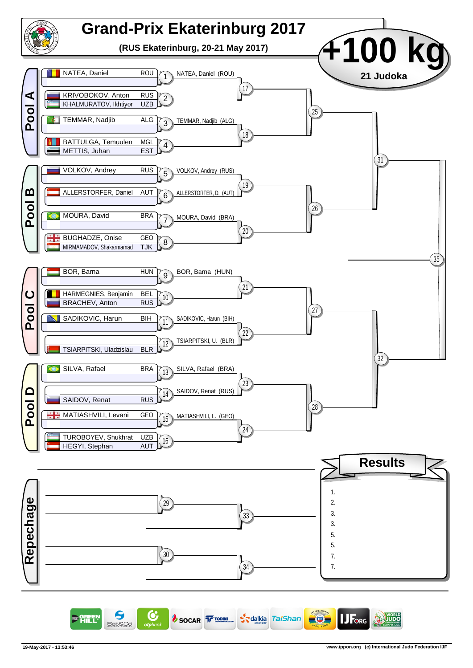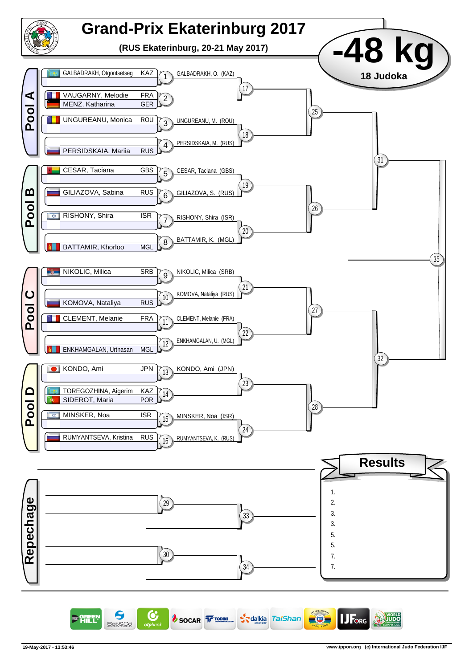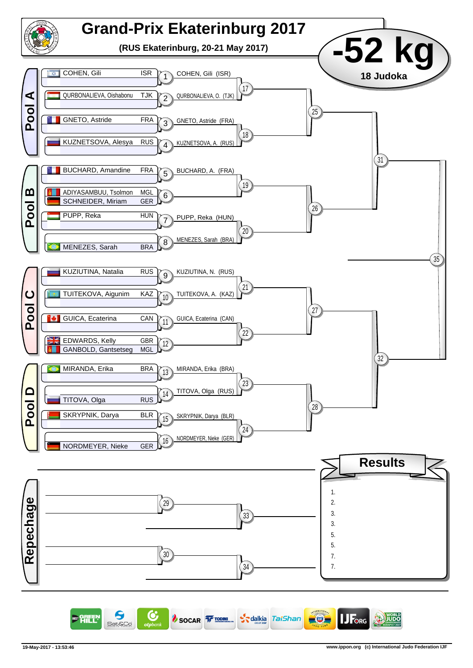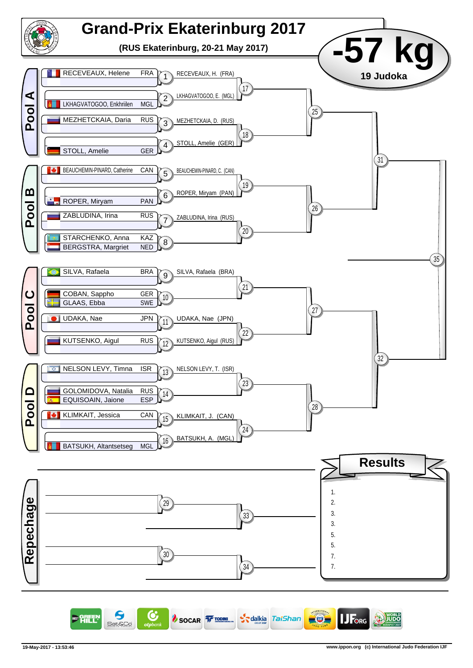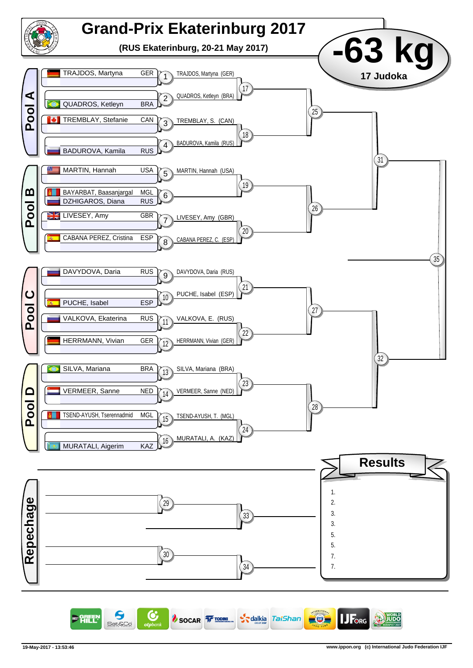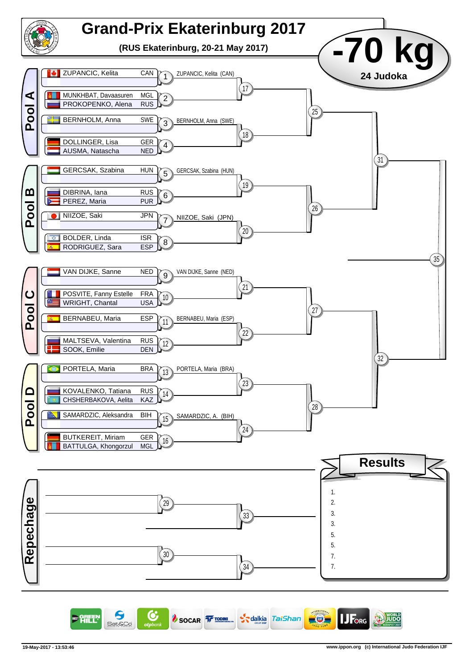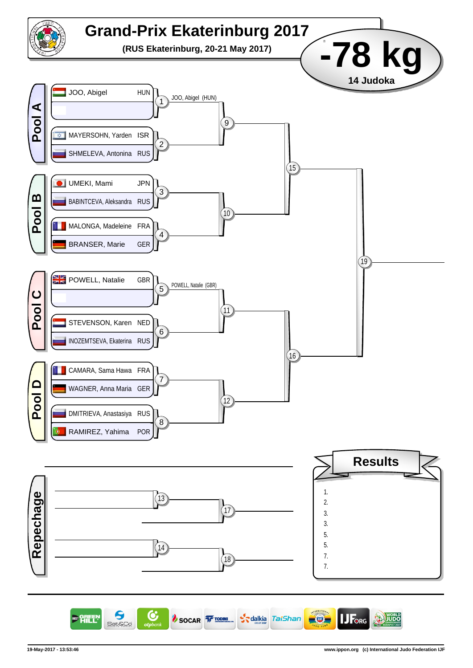

6 C SOCAR TODING **S**alkia TaiShan  $-\Theta$ FORG 明年 Sat&Co

**JUDC**